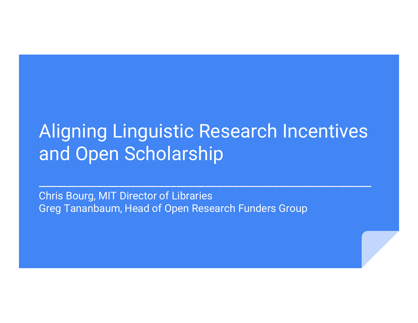## Aligning Linguistic Research Incentives and Open Scholarship

 $\mathcal{L}_\text{max}$  , and the set of the set of the set of the set of the set of the set of the set of the set of the set of the set of the set of the set of the set of the set of the set of the set of the set of the set of the

Chris Bourg, MIT Director of Libraries Greg Tananbaum, Head of Open Research Funders Group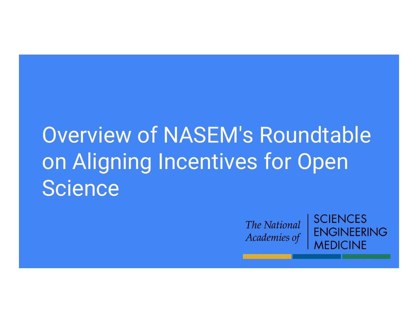# Overview of NASEM's Roundtable on Aligning Incentives for Open **Science**

The National Academies of **SCIENCES FNGINFFRING MEDICINE**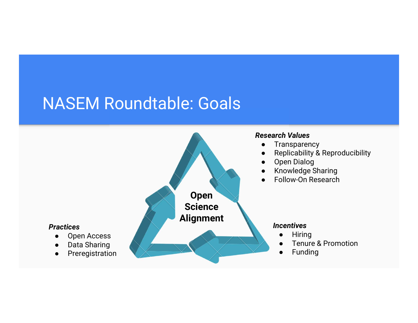### NASEM Roundtable: Goals

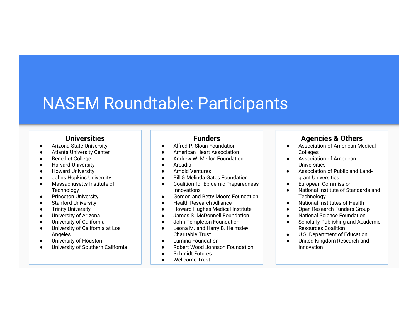### NASEM Roundtable: Participants

### **Universities**

- **•** Arizona State University
- Atlanta University Center
- Benedict College 
 Property and America and America and America and America and America and America and America and America and America and America and America and America and America and America and America and Americ
- Harvard University
- Howard University Noward University
- Johns Hopkins University
- Massachusetts Institute of **Technology**
- Princeton University Princeton University
- Stanford University
- Trinity University
- University of Arizona
- University of California
- University of California at Los Angeles
- University of Houston **Contains the Container of Security** of Australian Contains and Contains of Table 1, 1970
- University of Southern California | | ●

### Funders

- Alfred P. Sloan Foundation
- **American Heart Association**
- Andrew W. Mellon Foundation
- Arcadia
- Arnold Ventures **Arnold Ventures**
- **Bill & Melinda Gates Foundation**
- Coalition for Epidemic Preparedness | Innovations and the set of the set of the set of the set of the set of the set of the set of the set of the set of the set of the set of the set of the set of the set of the set of the set of the set of the set of the set
- **Gordon and Betty Moore Foundation**
- **Bealth Research Alliance Designation Designation**
- **Howard Hughes Medical Institute ■ ■**
- James S. McDonnell Foundation **Constant**
- John Templeton Foundation **Constant Constant Constant**
- Leona M. and Harry B. Helmsley Charitable Trust
- Lumina Foundation **Lumina Foundation**
- **Robert Wood Johnson Foundation**
- Schmidt Futures
- Wellcome Trust

### Agencies & Others

- Association of American Medical Colleges
- Association of American **Universities**
- Association of Public and Landgrant Universities
- **European Commission**
- National Institute of Standards and **Technology**
- National Institutes of Health
- Open Research Funders Group
- **National Science Foundation**
- Scholarly Publishing and Academic Resources Coalition
- U.S. Department of Education
- United Kingdom Research and Innovation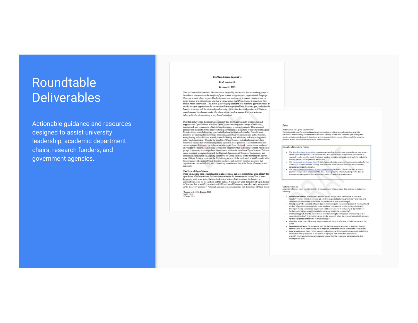# Roundtable

Actionable guidance and resources designed to assist university leadership, academic department chairs, research funders, and government agencies.

#### The Open Science Imperative

#### Draft version 3.0

#### October 31, 2019

Note to Roundable Member: This narrative, drafted by the Successi Stories verking group, is<br>therefore, This narrative, drafted by the Succession Successive Control of the Successive Control of the Successive Control of th complemented by a longer reader (for those wishing to do a deeper dive) and a shorter infographic (for those seeking a very broad overview,

> Over the last 20 years, the research community has grown increasingly interested in and supportive of Open Science activities. Open Science encompasses a range of individual, institutional, and community efforts to broaden access to research outputs. This increases accessibility facilitates better collaboration and outcomes as a function of collective intelligence By prioritizing shared discovery over individual and institutional agendas, Open Science<br>practices are spurring the knowledge economy, generating broad social and public benefits, strengthening cultural values around scientific literacy and education, and improving public policy and democracy.<sup>1</sup> Despite the benefits of Open Science, individual researchers face power was demonstrated through the state and the product of the state of the current credit and numerous barriers that are restricting broad uptake of these practices. The current credit and reward systems diging<br>equilippe movements to change their incomments to realize the benefits of Open Science. This while propart prepared in conjunction with the National Academies of Sciences, Engineering, and National Way and Sciences, Engineering, and state of Open Science, contrasts the diminishing returns of the traditional scientific model with the advantages of emergent Open Science practices, and suggests possible measures that organizations can individually and collectively undertake to shape the future of research and discovery.

#### The State of Open Science

Open Science has been conceptualized in philosophical and ideological terms as an affinity for open flows of information to facilitate innovation for the betterment of society $^2$  but is most frequently used as an umbrella term to describe active efforts to reduce the barriers to analysis and the material and the public. A commonly used definition of Open Science is "the idea that scientific knowledge of all kinds should be openly shared as early as is practice in the discovery process."<sup>3</sup> Although varying conceptualizations and definitions of Open Scien

Tennant et al., 2016; Zuccala, 2010 <sup>2</sup> Gold, 2016<br><sup>1</sup> Nielsen, 2011

#### Data

Relevance to Open Ecosystem The independent confirmation of results and conclusions is critical for understanding scientific soundness and informing future research activities. Openly shared data can shed light on negative<br>results and attempted research directions, with the potential to improve efficiency of the research process, as well as lead to novel analyses and conclusions.

#### **Examples of Open Data Policies**

- . The American Heart Association requires grant applicants to include a data sharing plan as part of the application process. Any research data that is needed for independent verific research results must be made freely and publicly available within 12 months of the end of the<br>funding period (and any no-cost extension).
- The European Open Science Cloud (EOSC) has developed a strategic implementation plan for the<br>creation of a data commons housing interoperable, machine-readable data across domains, consistent with FAIR principles.
- consistent with PAIR principles.<br>The <u>Yale University Open Data Access (YODA) Project</u> facilitates clinical trial data access to<br>promote independent analyses of the data. It also provides a formal vetting of the data to<br>en

#### Considerations

A number of issues merit consideration by organizations developing open data policies, including the following:

- Comprehensiveness. What data is needed for the independent verification of research<br>results? To what extent, it any, are lab notebooks, partial datasets, preliminary analyses, and<br>other materials necessary to facilitate th
- Timing. Given the centrality of open data in replicating and reproducing research results, should<br>all data related to these results be made available concurrent with the posting of research<br>findings? Should researchers b further explore their research data before sharing it with the community?
- . Financial support. Will the policy maker provide funding to defray costs of preparing and/or depositing the data? If so, is there a cap on the amount? Must the researcher explicitly account
- for these expenses at the time of project design? - Licensing. What type of licensing requirements will the policy include to facilitate reuse of the
- . Proprietary Software. To the extent that the data can only be accessed or analyzed through
- For the state is not open source, what steps can be taken to reduce restrictions on its reuse?<br>Data Monagement Plans. What support and guidance will the organization provide to help the service control researcher clearly a provide to help the shared? What mechanisms are in place to ensure that the researcher adheres to the data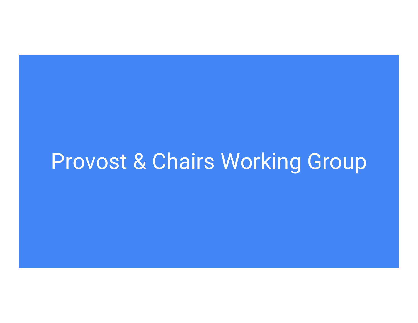## Provost & Chairs Working Group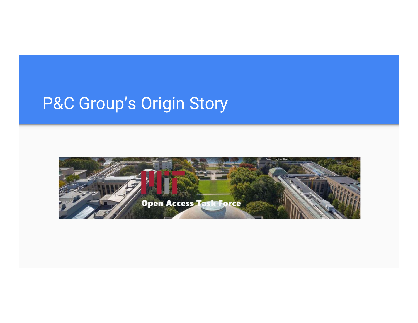## P&C Group's Origin Story

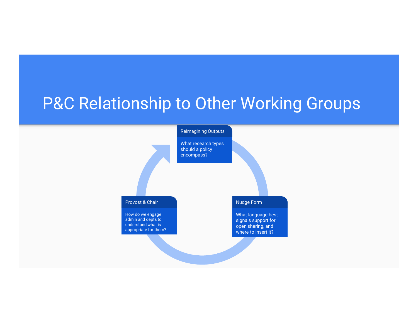### P&C Relationship to Other Working Groups

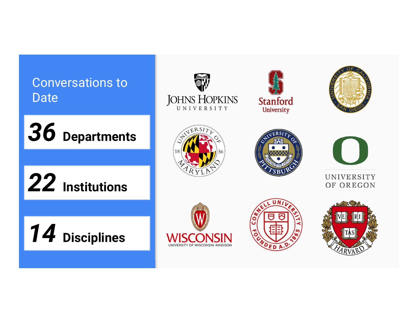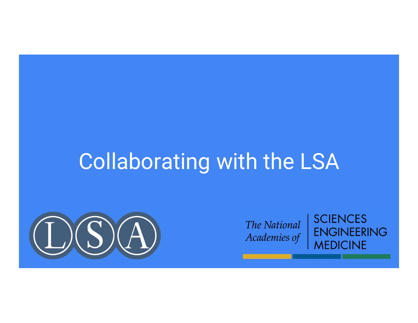## Collaborating with the LSA





**SCIENCES ENGINEERING MEDICINE**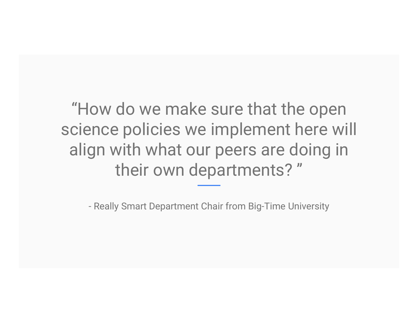"How do we make sure that the open science policies we implement here will align with what our peers are doing in their own departments? " ow do we make sure that the op<br>
ence policies we implement here<br>
gn with what our peers are doing<br>
their own departments? "<br>
- Really Smart Department Chair from Big-Time University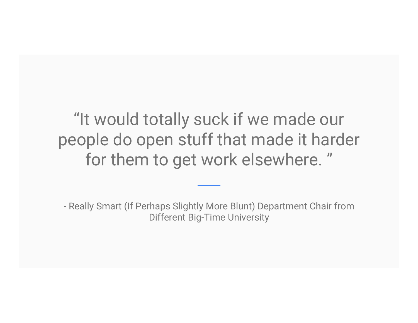"It would totally suck if we made our people do open stuff that made it harder for them to get work elsewhere. " "It would totally suck if we made our<br>
beople do open stuff that made it harder<br>
for them to get work elsewhere. "<br>
—<br>
- Really Smart (If Perhaps Slightly More Blunt) Department Chair from<br>
Different Big-Time University

Different Big-Time University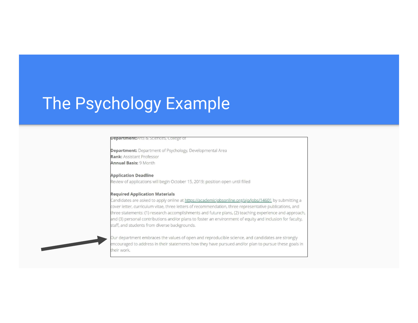## The Psychology Example

#### **Department:**Arts & Sciences, College of

**Department:** Department of Psychology, Developmental Area **Rank: Assistant Professor Annual Basis: 9 Month** 

#### **Application Deadline** Review of applications will begin October 15, 2019; position open until filled

#### **Required Application Materials**

Candidates are asked to apply online at https://academicjobsonline.org/ajo/jobs/14601 by submitting a cover letter, curriculum vitae, three letters of recommendation, three representative publications, and three statements: (1) research accomplishments and future plans, (2) teaching experience and approach, and (3) personal contributions and/or plans to foster an environment of equity and inclusion for faculty, staff, and students from diverse backgrounds.



Our department embraces the values of open and reproducible science, and candidates are strongly encouraged to address in their statements how they have pursued and/or plan to pursue these goals in heir work.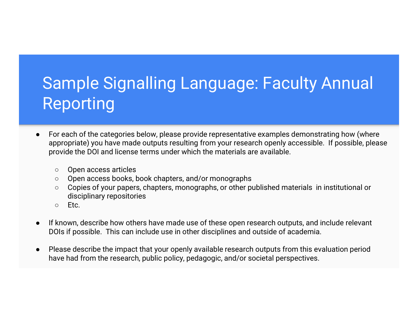## Sample Signalling Language: Faculty Annual Reporting

- For each of the categories below, please provide representative examples demonstrating how (where appropriate) you have made outputs resulting from your research openly accessible. If possible, please provide the DOI and license terms under which the materials are available.
	- Open access articles
	- Open access books, book chapters, and/or monographs
	- Copies of your papers, chapters, monographs, or other published materials in institutional or disciplinary repositories
	- $\circ$  Etc.
- If known, describe how others have made use of these open research outputs, and include relevant DOIs if possible. This can include use in other disciplines and outside of academia.
- Please describe the impact that your openly available research outputs from this evaluation period have had from the research, public policy, pedagogic, and/or societal perspectives.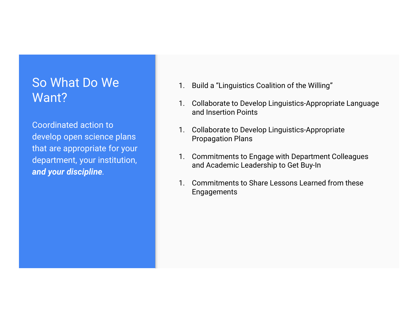### So What Do We Want?

Coordinated action to that are appropriate for your<br>
department vour institution<br>
1. Commitments to Engage with Department Colleagues department, your institution, and your discipline.

- 
- 1. Build a "Linguistics Coalition of the Willing"<br>1. Collaborate to Develop Linguistics-Appropriate Language<br>and Insertion Points 1. Build a "Linguistics Coalition of the Willing"<br>1. Collaborate to Develop Linguistics-Appropriate Language<br>2. Collaborate to Develop Linguistics-Appropriate<br>Propagation Plans and Insertion Points 1. Build a "Linguistics Coalition of the Willing"<br>1. Collaborate to Develop Linguistics-Appropriate Language<br>2. Collaborate to Develop Linguistics-Appropriate<br>2. Collaborate to Develop Linguistics-Appropriate<br>2. Commitment 1. Build a "Linguistics Coalition of the Willing"<br>1. Collaborate to Develop Linguistics-Appropriate Language<br>and Insertion Points<br>1. Collaborate to Develop Linguistics-Appropriate<br>Propagation Plans<br>1. Commitments to Engage 1. Build a "Linguistics Coalition of the Willing"<br>1. Collaborate to Develop Linguistics-Appropriate Language<br>2. Collaborate to Develop Linguistics-Appropriate<br>2. Collaborate to Develop Linguistics-Appropriate<br>2. Commitment
- develop open science plans and the collaborate to Develop Linguistics-Appropriate<br>Propagation Plans Propagation Plans
	- and Academic Leadership to Get Buy-In
	- Engagements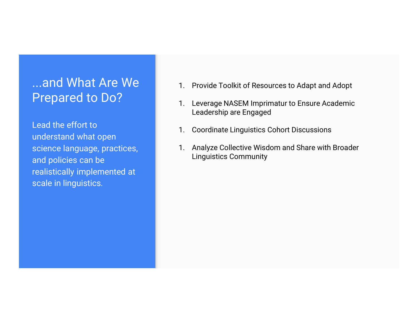# **Prepared to Do?** 1. Leverage NASEM Imprimatur to Ensure Academic

Lead the effort to understand what open and policies can be realistically implemented at scale in linguistics.

- ...and What Are We 1. Provide Toolkit of Resources to Adapt and Adopt
- 1. Provide Toolkit of Resources to Adapt and Adopt<br>1. Leverage NASEM Imprimatur to Ensure Academic<br>Leadership are Engaged 1. Provide Toolkit of Resources to Adapt and Adopt<br>1. Leverage NASEM Imprimatur to Ensure Academic<br>Leadership are Engaged<br>1. Coordinate Linguistics Cohort Discussions Leadership are Engaged
	-
- science language, practices, **1. Analyze Collective Wisdom and Share with Broader** 1. Provide Toolkit of Resources to Adapt and Adopt<br>1. Leverage NASEM Imprimatur to Ensure Academic<br>Leadership are Engaged<br>1. Coordinate Linguistics Cohort Discussions<br>1. Analyze Collective Wisdom and Share with Broader<br>Lin 1. Provide Toolkit of Resources to Adapt and Adopt<br>1. Leverage NASEM Imprimatur to Ensure Academic<br>Leadership are Engaged<br>1. Coordinate Linguistics Cohort Discussions<br>1. Analyze Collective Wisdom and Share with Broader<br>Lin Linguistics Community